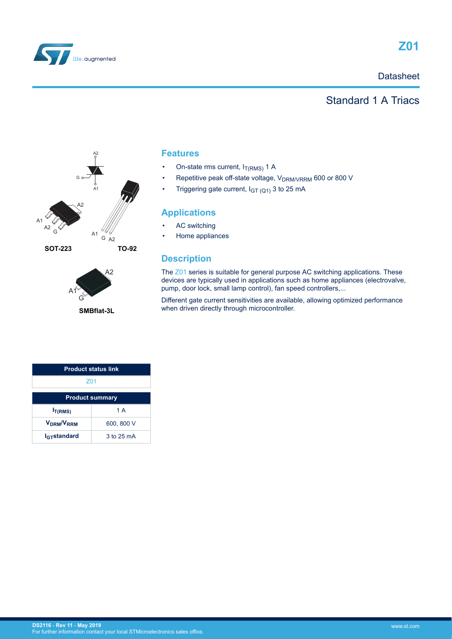

### **Datasheet**

## Standard 1 A Triacs





**SMBflat-3L**

### **Features**

- On-state rms current,  $I_{T(RMS)}$  1 A
- Repetitive peak off-state voltage, V<sub>DRM/VRRM</sub> 600 or 800 V
- Triggering gate current,  $I_{GT(Q1)}$  3 to 25 mA

#### **Applications**

- AC switching
- Home appliances

### **Description**

The [Z01](https://www.st.com/en/product/z01) series is suitable for general purpose AC switching applications. These devices are typically used in applications such as home appliances (electrovalve, pump, door lock, small lamp control), fan speed controllers,...

Different gate current sensitivities are available, allowing optimized performance when driven directly through microcontroller.

| <b>Product status link</b>         |            |  |
|------------------------------------|------------|--|
| 701                                |            |  |
| <b>Product summary</b>             |            |  |
| I <sub>T(RMS)</sub>                | 1 A        |  |
| V <sub>DRM</sub> /V <sub>RRM</sub> | 600, 800 V |  |
| <b>I<sub>GT</sub>standard</b>      | 3 to 25 mA |  |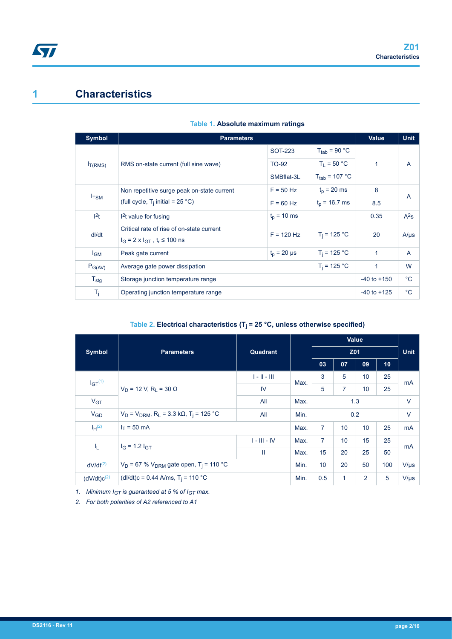## **1 Characteristics**

| Symbol           | <b>Parameters</b>                                                                                   |                                    |                           |      |                |  |  |
|------------------|-----------------------------------------------------------------------------------------------------|------------------------------------|---------------------------|------|----------------|--|--|
|                  |                                                                                                     | <b>SOT-223</b>                     | $T_{\text{tab}}$ = 90 °C  |      |                |  |  |
| $I_{T(RMS)}$     | RMS on-state current (full sine wave)                                                               | <b>TO-92</b>                       | $T_1 = 50 °C$             | 1    | $\overline{A}$ |  |  |
|                  |                                                                                                     | SMBflat-3L                         | $T_{\text{tab}}$ = 107 °C |      |                |  |  |
| $I_{\text{TSM}}$ | Non repetitive surge peak on-state current                                                          | $F = 50$ Hz                        | $t_{p}$ = 20 ms           | 8    | $\overline{A}$ |  |  |
|                  | (full cycle, $T_i$ initial = 25 °C)                                                                 | $F = 60$ Hz                        | $t_0$ = 16.7 ms           | 8.5  |                |  |  |
| 1 <sup>2</sup> t | $t_0$ = 10 ms<br>$12t$ value for fusing                                                             |                                    |                           | 0.35 | $A^2s$         |  |  |
| dl/dt            | Critical rate of rise of on-state current<br>$I_G = 2 \times I_{GT}$ , t <sub>r</sub> $\leq 100$ ns | $F = 120$ Hz                       | $T_i = 125 °C$            | 20   | $A/\mu s$      |  |  |
| $I_{GM}$         | Peak gate current                                                                                   | $T_i = 125 °C$<br>$t_p = 20 \mu s$ |                           | 1    | $\overline{A}$ |  |  |
| $P_{G(AV)}$      | Average gate power dissipation                                                                      | 1                                  | W                         |      |                |  |  |
| $T_{\text{stg}}$ | Storage junction temperature range                                                                  | $-40$ to $+150$                    | $^{\circ}C$               |      |                |  |  |
| $T_j$            | Operating junction temperature range                                                                | $-40$ to $+125$                    | $^{\circ}C$               |      |                |  |  |

#### **Table 1. Absolute maximum ratings**

### Table 2. Electrical characteristics  $(T_j = 25 \text{ °C},$  unless otherwise specified)

| <b>Symbol</b>    | <b>Parameters</b>                                                                    | Quadrant       |      |                | Z01          | <b>Unit</b> |           |           |
|------------------|--------------------------------------------------------------------------------------|----------------|------|----------------|--------------|-------------|-----------|-----------|
|                  |                                                                                      |                |      | 03             | 07           | 09          | 10        |           |
| $IGT^{(1)}$      |                                                                                      | $1 - 11 - 111$ | Max. | 3              | 5            | 10          | 25        |           |
|                  | $V_D$ = 12 V, R <sub>1</sub> = 30 $\Omega$                                           | IV             |      | 5              | 7            | 10          | 25        | mA        |
| V <sub>GT</sub>  |                                                                                      | All            | Max. | 1.3            |              |             |           | $\vee$    |
| $V_{GD}$         | $V_D$ = $V_{DRM}$ , R <sub>L</sub> = 3.3 k $\Omega$ , T <sub>i</sub> = 125 °C<br>All |                |      | 0.2            |              |             |           | $\vee$    |
| $I_H^{(2)}$      | $I_T = 50$ mA                                                                        |                | Max. | $\overline{7}$ | 10           | 10          | 25        | mA        |
|                  | $I_G = 1.2 I_{GT}$                                                                   | $I - III - IV$ | Max. | $\overline{7}$ | 10           | 15          | 25        | mA        |
| ΙL.              | Ш                                                                                    |                | Max. | 15             | 20           | 25          | 50        |           |
| $dV/dt^{(2)}$    | $V_D$ = 67 % $V_{DRM}$ gate open, T <sub>i</sub> = 110 °C                            | Min.           | 10   | 20             | 50           | 100         | $V/\mu s$ |           |
| $(dV/dt)c^{(2)}$ | (dl/dt)c = 0.44 A/ms, $T_i$ = 110 °C                                                 |                |      | 0.5            | $\mathbf{1}$ | 2           | 5         | $V/\mu s$ |

*1. Minimum IGT is guaranteed at 5 % of IGT max.*

*2. For both polarities of A2 referenced to A1*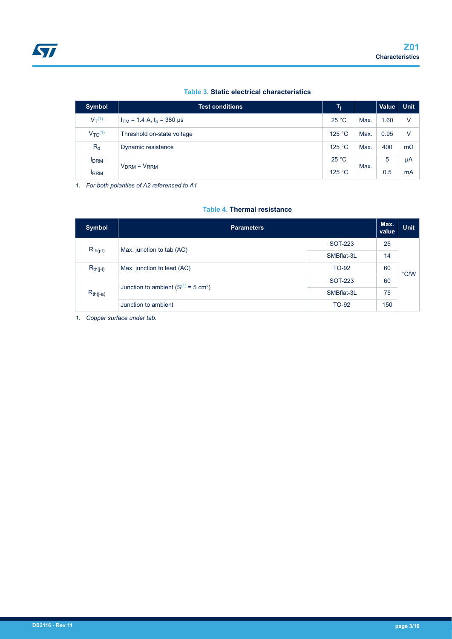#### **Table 3. Static electrical characteristics**

| <b>Symbol</b>  | <b>Test conditions</b>           | T <sub>j</sub> |      | <b>Value</b> | <b>Unit</b> |
|----------------|----------------------------------|----------------|------|--------------|-------------|
| $V_T^{(1)}$    | $I_{TM}$ = 1.4 A, $t_p$ = 380 µs | 25 °C          | Max. | 1.60         | V           |
| $V_{TO}^{(1)}$ | Threshold on-state voltage       | 125 °C         | Max. | 0.95         | v           |
| $R_d$          | Dynamic resistance               | 125 °C         | Max. | 400          | $m\Omega$   |
| <b>IDRM</b>    | $VDRM = VRRM$                    | 25 °C          |      | 5            | μA          |
| <b>IRRM</b>    |                                  | 125 °C         | Max. | 0.5          | mA          |

*1. For both polarities of A2 referenced to A1*

#### **Table 4. Thermal resistance**

| Symbol        | <b>Parameters</b>                                |              |     | <b>Unit</b>   |
|---------------|--------------------------------------------------|--------------|-----|---------------|
|               | Max. junction to tab (AC)                        | SOT-223      | 25  |               |
| $R_{th(j-t)}$ |                                                  | SMBflat-3L   | 14  |               |
| $R_{th(j-l)}$ | Max. junction to lead (AC)                       | TO-92        | 60  | $\degree$ C/W |
| $R_{th(j-a)}$ |                                                  | SOT-223      | 60  |               |
|               | Junction to ambient $(S^{(1)} = 5 \text{ cm}^2)$ | SMBflat-3L   | 75  |               |
|               | Junction to ambient                              | <b>TO-92</b> | 150 |               |

*1. Copper surface under tab.*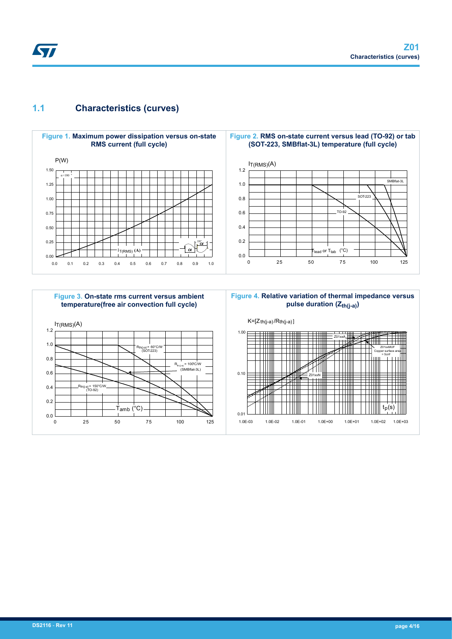## **1.1 Characteristics (curves)**

**STI** 





#### **Figure 4. Relative variation of thermal impedance versus pulse duration (Zth(j-a))**

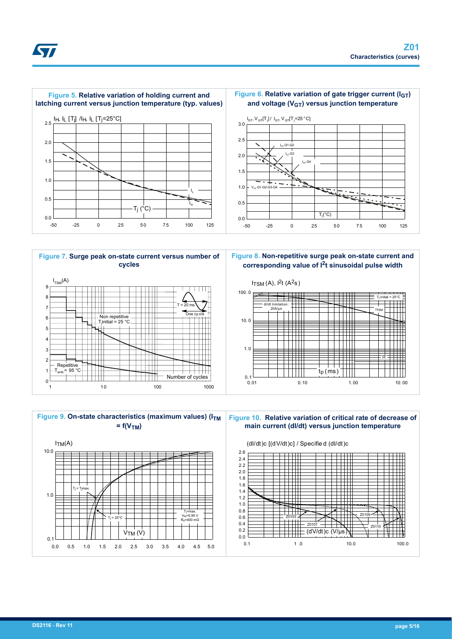













**Figure 10. Relative variation of critical rate of decrease of main current (dI/dt) versus junction temperature**

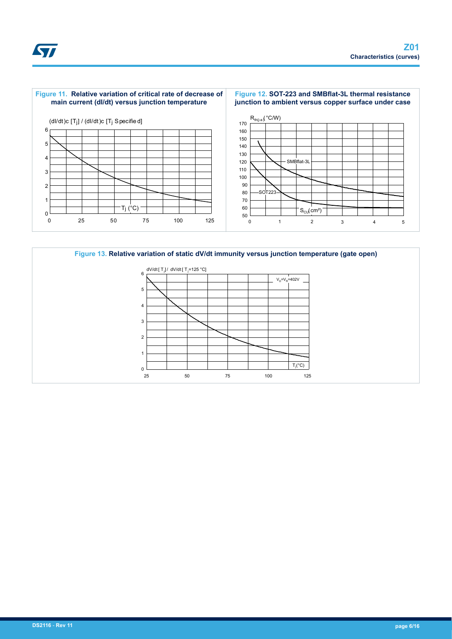



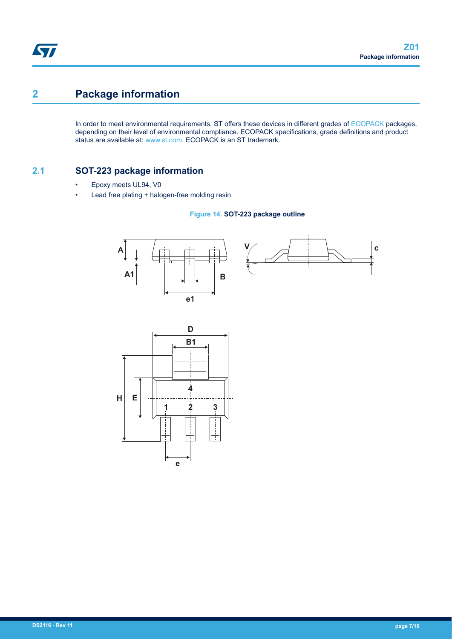## **2 Package information**

In order to meet environmental requirements, ST offers these devices in different grades of [ECOPACK](https://www.st.com/ecopack) packages, depending on their level of environmental compliance. ECOPACK specifications, grade definitions and product status are available at: [www.st.com.](http://www.st.com) ECOPACK is an ST trademark.

### **2.1 SOT-223 package information**

- Epoxy meets UL94, V0
- Lead free plating + halogen-free molding resin

#### **Figure 14. SOT-223 package outline**



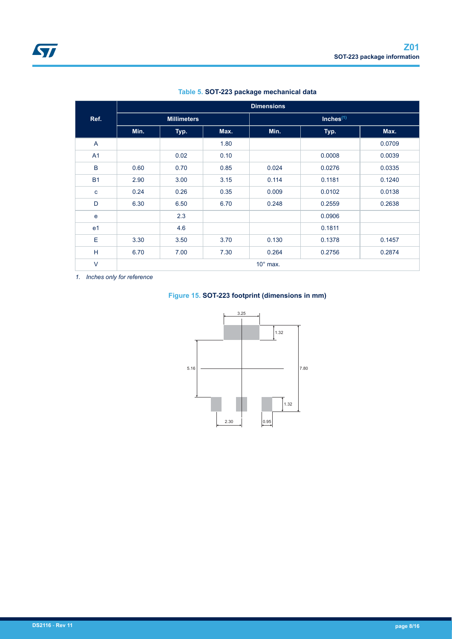|                | <b>Dimensions</b> |                    |      |                 |              |        |
|----------------|-------------------|--------------------|------|-----------------|--------------|--------|
| Ref.           |                   | <b>Millimeters</b> |      |                 | Inches $(1)$ |        |
|                | Min.              | Typ.               | Max. | Min.            | Typ.         | Max.   |
| A              |                   |                    | 1.80 |                 |              | 0.0709 |
| A <sub>1</sub> |                   | 0.02               | 0.10 |                 | 0.0008       | 0.0039 |
| B              | 0.60              | 0.70               | 0.85 | 0.024           | 0.0276       | 0.0335 |
| <b>B1</b>      | 2.90              | 3.00               | 3.15 | 0.114           | 0.1181       | 0.1240 |
| $\mathbf{C}$   | 0.24              | 0.26               | 0.35 | 0.009           | 0.0102       | 0.0138 |
| D              | 6.30              | 6.50               | 6.70 | 0.248           | 0.2559       | 0.2638 |
| e              |                   | 2.3                |      |                 | 0.0906       |        |
| e <sub>1</sub> |                   | 4.6                |      |                 | 0.1811       |        |
| Ε              | 3.30              | 3.50               | 3.70 | 0.130           | 0.1378       | 0.1457 |
| H              | 6.70              | 7.00               | 7.30 | 0.264           | 0.2756       | 0.2874 |
| $\vee$         |                   |                    |      | $10^\circ$ max. |              |        |

#### **Table 5. SOT-223 package mechanical data**

*1. Inches only for reference*

### **Figure 15. SOT-223 footprint (dimensions in mm)**

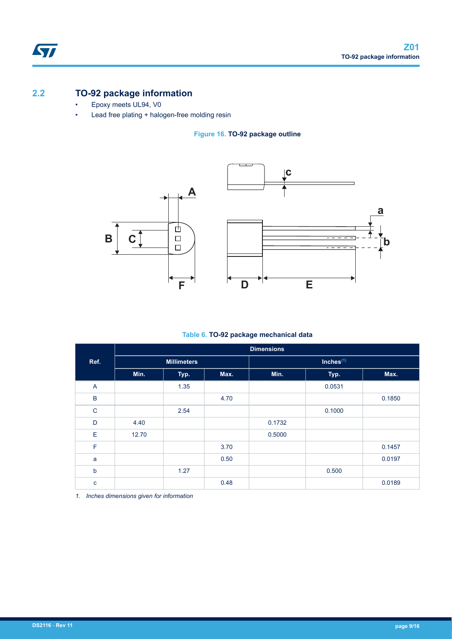### **2.2 TO-92 package information**

ST

- Epoxy meets UL94, V0
- Lead free plating + halogen-free molding resin

#### **Figure 16. TO-92 package outline**



#### **Table 6. TO-92 package mechanical data**

|                |       |                    |      | <b>Dimensions</b> |              |        |
|----------------|-------|--------------------|------|-------------------|--------------|--------|
| Ref.           |       | <b>Millimeters</b> |      |                   | Inches $(1)$ |        |
|                | Min.  | Typ.               | Max. | Min.              | Typ.         | Max.   |
| $\overline{A}$ |       | 1.35               |      |                   | 0.0531       |        |
| $\mathsf B$    |       |                    | 4.70 |                   |              | 0.1850 |
| $\mathsf{C}$   |       | 2.54               |      |                   | 0.1000       |        |
| D              | 4.40  |                    |      | 0.1732            |              |        |
| Е              | 12.70 |                    |      | 0.5000            |              |        |
| F              |       |                    | 3.70 |                   |              | 0.1457 |
| a              |       |                    | 0.50 |                   |              | 0.0197 |
| b              |       | 1.27               |      |                   | 0.500        |        |
| $\mathbf{C}$   |       |                    | 0.48 |                   |              | 0.0189 |

*1. Inches dimensions given for information*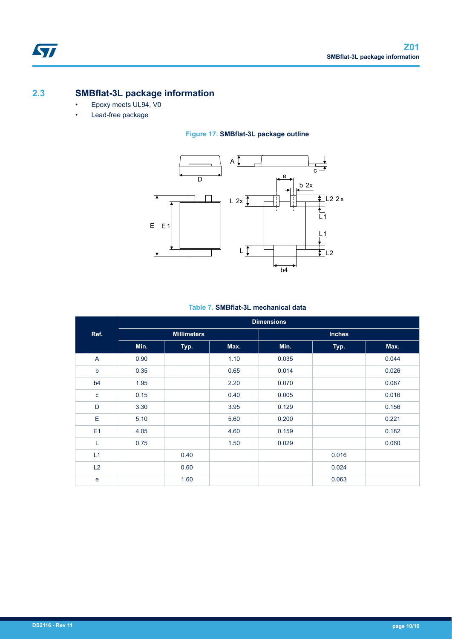## **2.3 SMBflat-3L package information**

- Epoxy meets UL94, V0
- Lead-free package

### **Figure 17. SMBflat-3L package outline**



### **Table 7. SMBflat-3L mechanical data**

|                |      |                    |      | <b>Dimensions</b> |               |       |
|----------------|------|--------------------|------|-------------------|---------------|-------|
| Ref.           |      | <b>Millimeters</b> |      |                   | <b>Inches</b> |       |
|                | Min. | Typ.               | Max. | Min.              | Typ.          | Max.  |
| A              | 0.90 |                    | 1.10 | 0.035             |               | 0.044 |
| $\mathbf b$    | 0.35 |                    | 0.65 | 0.014             |               | 0.026 |
| b <sub>4</sub> | 1.95 |                    | 2.20 | 0.070             |               | 0.087 |
| $\mathbf c$    | 0.15 |                    | 0.40 | 0.005             |               | 0.016 |
| D              | 3.30 |                    | 3.95 | 0.129             |               | 0.156 |
| E              | 5.10 |                    | 5.60 | 0.200             |               | 0.221 |
| E1             | 4.05 |                    | 4.60 | 0.159             |               | 0.182 |
| L              | 0.75 |                    | 1.50 | 0.029             |               | 0.060 |
| L1             |      | 0.40               |      |                   | 0.016         |       |
| L2             |      | 0.60               |      |                   | 0.024         |       |
| $\mathbf e$    |      | 1.60               |      |                   | 0.063         |       |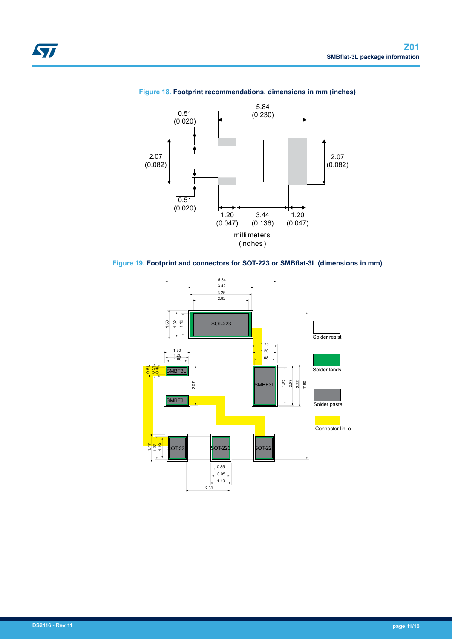

#### **Figure 18. Footprint recommendations, dimensions in mm (inches)**



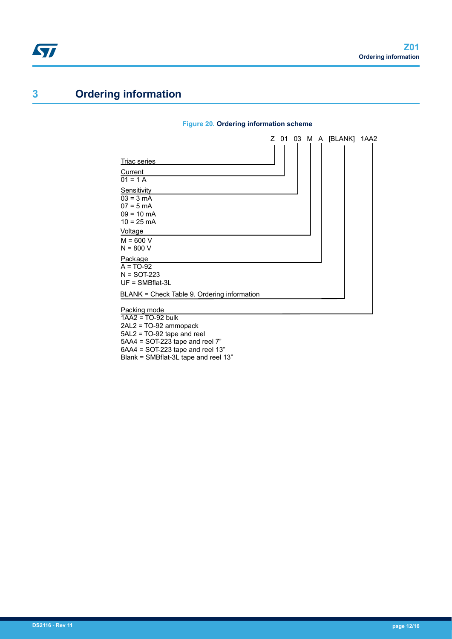## <span id="page-11-0"></span>**3 Ordering information**

#### **Figure 20. Ordering information scheme**



5AL2 = TO-92 tape and reel

5AA4 = SOT-223 tape and reel 7"

6AA4 = SOT-223 tape and reel 13"

Blank = SMBflat-3L tape and reel 13"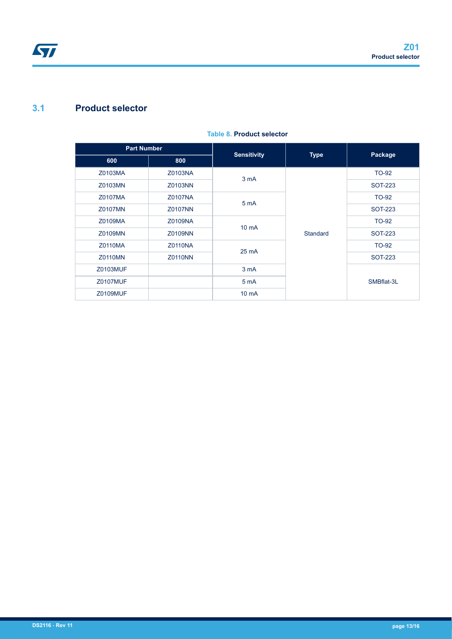## **3.1 Product selector**

| <b>Part Number</b> |                | <b>Sensitivity</b> | <b>Type</b> | Package        |
|--------------------|----------------|--------------------|-------------|----------------|
| 600                | 800            |                    |             |                |
| Z0103MA            | Z0103NA        | 3 <sub>m</sub> A   |             | TO-92          |
| Z0103MN            | Z0103NN        |                    |             | <b>SOT-223</b> |
| Z0107MA            | Z0107NA        | 5 mA               |             | TO-92          |
| Z0107MN            | Z0107NN        |                    |             | SOT-223        |
| Z0109MA            | Z0109NA        | 10 <sub>m</sub> A  |             | TO-92          |
| Z0109MN            | Z0109NN        |                    | Standard    | <b>SOT-223</b> |
| Z0110MA            | <b>Z0110NA</b> | 25 mA              |             | TO-92          |
| <b>Z0110MN</b>     | <b>Z0110NN</b> |                    |             | <b>SOT-223</b> |
| <b>Z0103MUF</b>    |                | 3 <sub>m</sub> A   |             |                |
| <b>Z0107MUF</b>    |                | 5 <sub>m</sub> A   |             | SMBflat-3L     |
| <b>Z0109MUF</b>    |                | 10 <sub>m</sub> A  |             |                |

#### **Table 8. Product selector**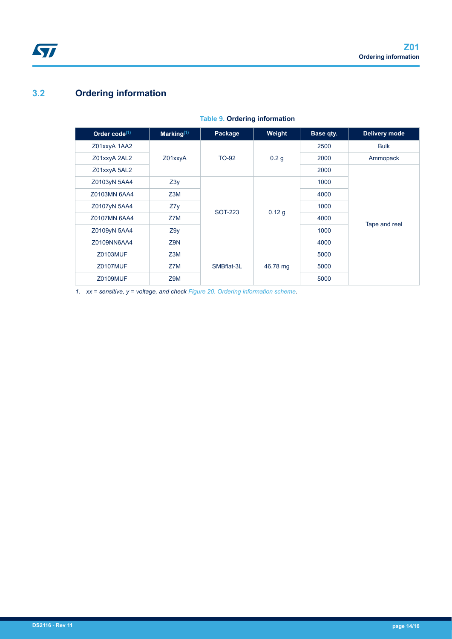## **3.2 Ordering information**

<span id="page-13-0"></span>ST

| Order $code^{(1)}$ | Marking $(1)$ | Package        | Weight           | Base qty. | Delivery mode |
|--------------------|---------------|----------------|------------------|-----------|---------------|
| Z01xxyA 1AA2       |               |                |                  | 2500      | <b>Bulk</b>   |
| Z01xxyA 2AL2       | Z01xxyA       | <b>TO-92</b>   | 0.2 <sub>g</sub> | 2000      | Ammopack      |
| Z01xxyA 5AL2       |               |                |                  | 2000      |               |
| Z0103yN 5AA4       | Z3y           | <b>SOT-223</b> |                  | 1000      |               |
| Z0103MN 6AA4       | Z3M           |                | 0.12 g           | 4000      |               |
| Z0107yN 5AA4       | Z7y           |                |                  | 1000      |               |
| Z0107MN 6AA4       | Z7M           |                |                  | 4000      | Tape and reel |
| Z0109yN 5AA4       | Z9y           |                |                  | 1000      |               |
| Z0109NN6AA4        | Z9N           |                |                  | 4000      |               |
| Z0103MUF           | Z3M           |                |                  | 5000      |               |
| <b>Z0107MUF</b>    | Z7M           | SMBflat-3L     | 46.78 mg         | 5000      |               |
| <b>Z0109MUF</b>    | Z9M           |                |                  | 5000      |               |

#### **Table 9. Ordering information**

*1. xx = sensitive, y = voltage, and check [Figure 20. Ordering information scheme.](#page-11-0)*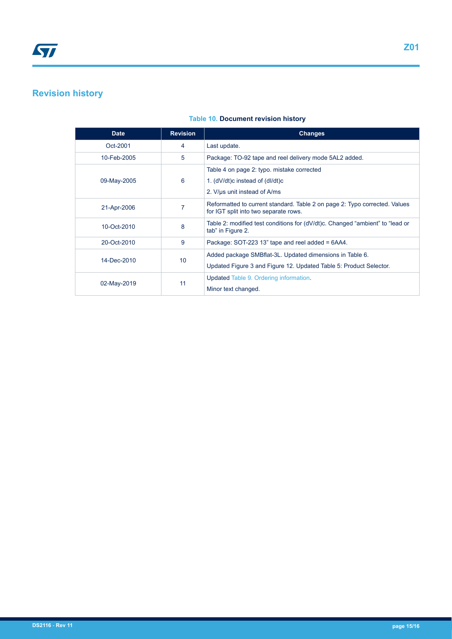## **Revision history**

#### **Table 10. Document revision history**

| <b>Date</b> | <b>Revision</b> | <b>Changes</b>                                                                                                      |
|-------------|-----------------|---------------------------------------------------------------------------------------------------------------------|
| Oct-2001    | 4               | Last update.                                                                                                        |
| 10-Feb-2005 | 5               | Package: TO-92 tape and reel delivery mode 5AL2 added.                                                              |
| 09-May-2005 | 6               | Table 4 on page 2: typo. mistake corrected<br>1. $(dV/dt)c$ instead of $(dI/dt)c$                                   |
|             |                 | 2. V/us unit instead of A/ms                                                                                        |
| 21-Apr-2006 | 7               | Reformatted to current standard. Table 2 on page 2: Typo corrected. Values<br>for IGT split into two separate rows. |
| 10-Oct-2010 | 8               | Table 2: modified test conditions for (dV/dt)c. Changed "ambient" to "lead or<br>tab" in Figure 2.                  |
| 20-Oct-2010 | 9               | Package: SOT-223 13" tape and reel added = 6AA4.                                                                    |
| 14-Dec-2010 | 10 <sup>1</sup> | Added package SMB flat-3L. Updated dimensions in Table 6.                                                           |
|             |                 | Updated Figure 3 and Figure 12. Updated Table 5: Product Selector.                                                  |
|             |                 | Updated Table 9. Ordering information.                                                                              |
| 02-May-2019 | 11              | Minor text changed.                                                                                                 |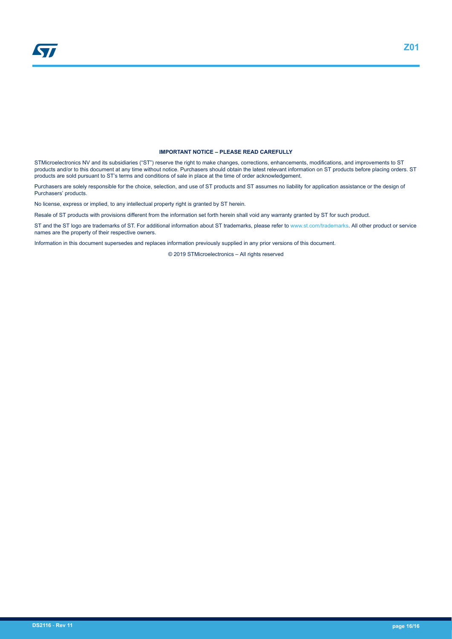#### **IMPORTANT NOTICE – PLEASE READ CAREFULLY**

STMicroelectronics NV and its subsidiaries ("ST") reserve the right to make changes, corrections, enhancements, modifications, and improvements to ST products and/or to this document at any time without notice. Purchasers should obtain the latest relevant information on ST products before placing orders. ST products are sold pursuant to ST's terms and conditions of sale in place at the time of order acknowledgement.

Purchasers are solely responsible for the choice, selection, and use of ST products and ST assumes no liability for application assistance or the design of Purchasers' products.

No license, express or implied, to any intellectual property right is granted by ST herein.

Resale of ST products with provisions different from the information set forth herein shall void any warranty granted by ST for such product.

ST and the ST logo are trademarks of ST. For additional information about ST trademarks, please refer to [www.st.com/trademarks](http://www.st.com/trademarks). All other product or service names are the property of their respective owners.

Information in this document supersedes and replaces information previously supplied in any prior versions of this document.

© 2019 STMicroelectronics – All rights reserved